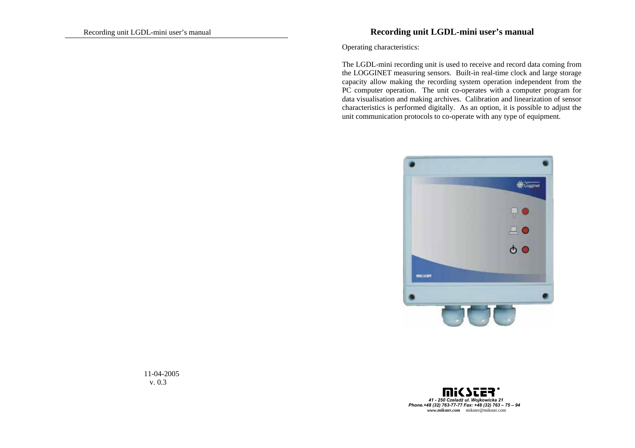## Recording unit LGDL-mini user's manual **Recording unit LGDL-mini user's manual**

Operating characteristics:

The LGDL-mini recording unit is used to receive and record data coming from the LOGGINET measuring sensors. Built-in real-time clock and large storage capacity allow making the recording system operation independent from the PC computer operation. The unit co-operates with a computer program for data visualisation and making archives. Calibration and linearization of sensor characteristics is performed digitally. As an option, it is possible to adjust the unit communication protocols to co-operate with any type of equipment.





11-04-2005 v. 0.3